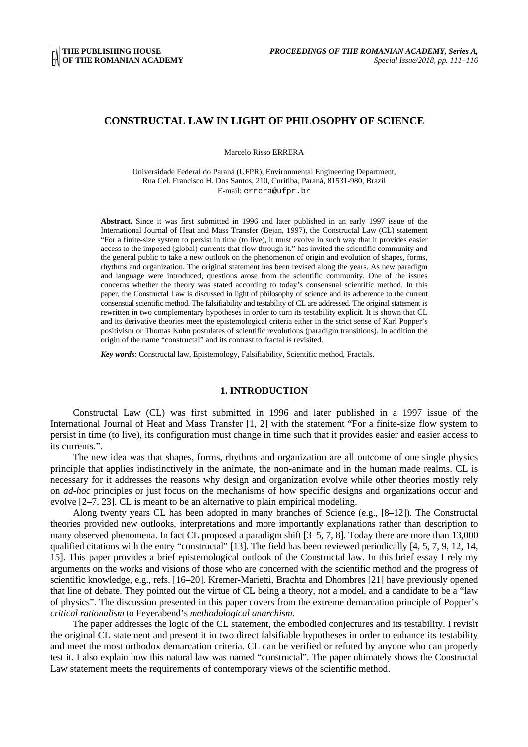# **CONSTRUCTAL LAW IN LIGHT OF PHILOSOPHY OF SCIENCE**

Marcelo Risso ERRERA

Universidade Federal do Paraná (UFPR), Environmental Engineering Department, Rua Cel. Francisco H. Dos Santos, 210, Curitiba, Paraná, 81531-980, Brazil E-mail: errera@ufpr.br

**Abstract.** Since it was first submitted in 1996 and later published in an early 1997 issue of the International Journal of Heat and Mass Transfer (Bejan, 1997), the Constructal Law (CL) statement "For a finite-size system to persist in time (to live), it must evolve in such way that it provides easier access to the imposed (global) currents that flow through it." has invited the scientific community and the general public to take a new outlook on the phenomenon of origin and evolution of shapes, forms, rhythms and organization. The original statement has been revised along the years. As new paradigm and language were introduced, questions arose from the scientific community. One of the issues concerns whether the theory was stated according to today's consensual scientific method. In this paper, the Constructal Law is discussed in light of philosophy of science and its adherence to the current consensual scientific method. The falsifiability and testability of CL are addressed. The original statement is rewritten in two complementary hypotheses in order to turn its testability explicit. It is shown that CL and its derivative theories meet the epistemological criteria either in the strict sense of Karl Popper's positivism or Thomas Kuhn postulates of scientific revolutions (paradigm transitions). In addition the origin of the name "constructal" and its contrast to fractal is revisited.

*Key words*: Constructal law, Epistemology, Falsifiability, Scientific method, Fractals.

### **1. INTRODUCTION**

Constructal Law (CL) was first submitted in 1996 and later published in a 1997 issue of the International Journal of Heat and Mass Transfer [1, 2] with the statement "For a finite-size flow system to persist in time (to live), its configuration must change in time such that it provides easier and easier access to its currents.".

The new idea was that shapes, forms, rhythms and organization are all outcome of one single physics principle that applies indistinctively in the animate, the non-animate and in the human made realms. CL is necessary for it addresses the reasons why design and organization evolve while other theories mostly rely on *ad-hoc* principles or just focus on the mechanisms of how specific designs and organizations occur and evolve [2–7, 23]. CL is meant to be an alternative to plain empirical modeling.

Along twenty years CL has been adopted in many branches of Science (e.g., [8–12]). The Constructal theories provided new outlooks, interpretations and more importantly explanations rather than description to many observed phenomena. In fact CL proposed a paradigm shift [3–5, 7, 8]. Today there are more than 13,000 qualified citations with the entry "constructal" [13]. The field has been reviewed periodically [4, 5, 7, 9, 12, 14, 15]. This paper provides a brief epistemological outlook of the Constructal law. In this brief essay I rely my arguments on the works and visions of those who are concerned with the scientific method and the progress of scientific knowledge, e.g., refs. [16–20]. Kremer-Marietti, Brachta and Dhombres [21] have previously opened that line of debate. They pointed out the virtue of CL being a theory, not a model, and a candidate to be a "law of physics". The discussion presented in this paper covers from the extreme demarcation principle of Popper's *critical rationalism* to Feyerabend's *methodological anarchism*.

The paper addresses the logic of the CL statement, the embodied conjectures and its testability. I revisit the original CL statement and present it in two direct falsifiable hypotheses in order to enhance its testability and meet the most orthodox demarcation criteria. CL can be verified or refuted by anyone who can properly test it. I also explain how this natural law was named "constructal". The paper ultimately shows the Constructal Law statement meets the requirements of contemporary views of the scientific method.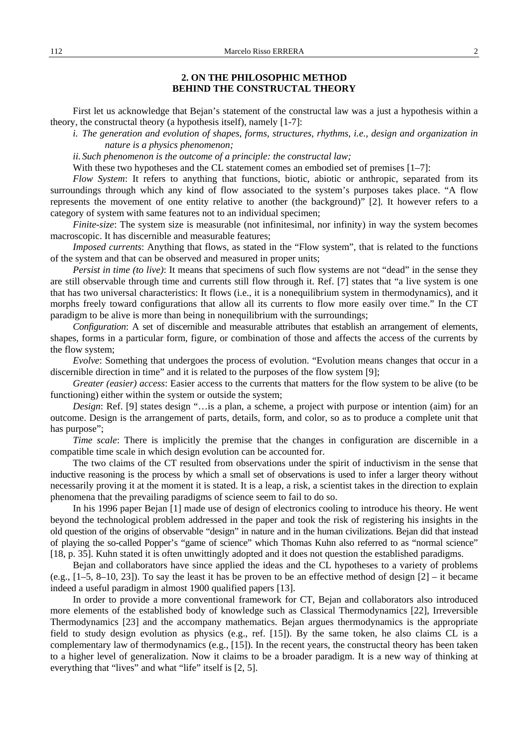# **2. ON THE PHILOSOPHIC METHOD BEHIND THE CONSTRUCTAL THEORY**

First let us acknowledge that Bejan's statement of the constructal law was a just a hypothesis within a theory, the constructal theory (a hypothesis itself), namely [1-7]:

*i. The generation and evolution of shapes, forms, structures, rhythms, i.e., design and organization in nature is a physics phenomenon;* 

*ii. Such phenomenon is the outcome of a principle: the constructal law;* 

With these two hypotheses and the CL statement comes an embodied set of premises [1–7]:

*Flow System*: It refers to anything that functions, biotic, abiotic or anthropic, separated from its surroundings through which any kind of flow associated to the system's purposes takes place. "A flow represents the movement of one entity relative to another (the background)" [2]. It however refers to a category of system with same features not to an individual specimen;

*Finite-size*: The system size is measurable (not infinitesimal, nor infinity) in way the system becomes macroscopic. It has discernible and measurable features;

*Imposed currents*: Anything that flows, as stated in the "Flow system", that is related to the functions of the system and that can be observed and measured in proper units;

*Persist in time (to live)*: It means that specimens of such flow systems are not "dead" in the sense they are still observable through time and currents still flow through it. Ref. [7] states that "a live system is one that has two universal characteristics: It flows (i.e., it is a nonequilibrium system in thermodynamics), and it morphs freely toward configurations that allow all its currents to flow more easily over time." In the CT paradigm to be alive is more than being in nonequilibrium with the surroundings;

*Configuration*: A set of discernible and measurable attributes that establish an arrangement of elements, shapes, forms in a particular form, figure, or combination of those and affects the access of the currents by the flow system;

*Evolve:* Something that undergoes the process of evolution. "Evolution means changes that occur in a discernible direction in time" and it is related to the purposes of the flow system [9];

*Greater (easier) access*: Easier access to the currents that matters for the flow system to be alive (to be functioning) either within the system or outside the system;

*Design*: Ref. [9] states design "…is a plan, a scheme, a project with purpose or intention (aim) for an outcome. Design is the arrangement of parts, details, form, and color, so as to produce a complete unit that has purpose";

*Time scale*: There is implicitly the premise that the changes in configuration are discernible in a compatible time scale in which design evolution can be accounted for.

The two claims of the CT resulted from observations under the spirit of inductivism in the sense that inductive reasoning is the process by which a small set of observations is used to infer a larger theory without necessarily proving it at the moment it is stated. It is a leap, a risk, a scientist takes in the direction to explain phenomena that the prevailing paradigms of science seem to fail to do so.

In his 1996 paper Bejan [1] made use of design of electronics cooling to introduce his theory. He went beyond the technological problem addressed in the paper and took the risk of registering his insights in the old question of the origins of observable "design" in nature and in the human civilizations. Bejan did that instead of playing the so-called Popper's "game of science" which Thomas Kuhn also referred to as "normal science" [18, p. 35]. Kuhn stated it is often unwittingly adopted and it does not question the established paradigms.

Bejan and collaborators have since applied the ideas and the CL hypotheses to a variety of problems (e.g., [1–5, 8–10, 23]). To say the least it has be proven to be an effective method of design [2] – it became indeed a useful paradigm in almost 1900 qualified papers [13].

In order to provide a more conventional framework for CT, Bejan and collaborators also introduced more elements of the established body of knowledge such as Classical Thermodynamics [22], Irreversible Thermodynamics [23] and the accompany mathematics. Bejan argues thermodynamics is the appropriate field to study design evolution as physics (e.g., ref. [15]). By the same token, he also claims CL is a complementary law of thermodynamics (e.g., [15]). In the recent years, the constructal theory has been taken to a higher level of generalization. Now it claims to be a broader paradigm. It is a new way of thinking at everything that "lives" and what "life" itself is [2, 5].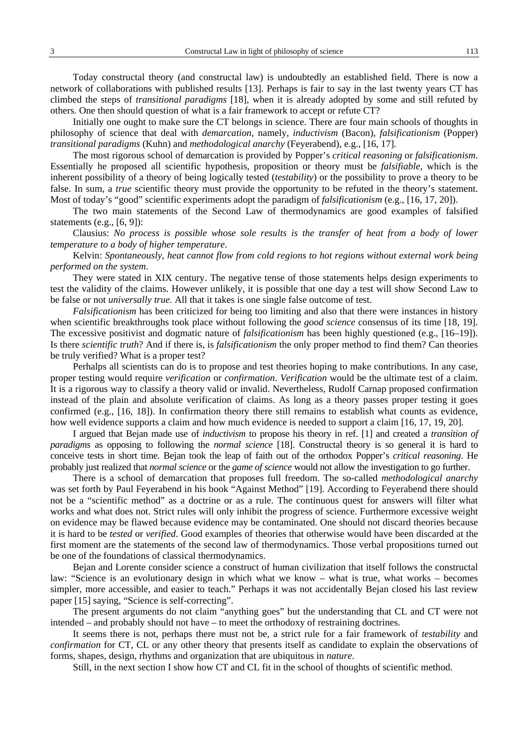Today constructal theory (and constructal law) is undoubtedly an established field. There is now a network of collaborations with published results [13]. Perhaps is fair to say in the last twenty years CT has climbed the steps of *transitional paradigms* [18], when it is already adopted by some and still refuted by others. One then should question of what is a fair framework to accept or refute CT?

Initially one ought to make sure the CT belongs in science. There are four main schools of thoughts in philosophy of science that deal with *demarcation*, namely, *inductivism* (Bacon), *falsificationism* (Popper) *transitional paradigms* (Kuhn) and *methodological anarchy* (Feyerabend), e.g., [16, 17].

The most rigorous school of demarcation is provided by Popper's *critical reasoning* or *falsificationism*. Essentially he proposed all scientific hypothesis, proposition or theory must be *falsifiable*, which is the inherent possibility of a theory of being logically tested (*testability*) or the possibility to prove a theory to be false. In sum, a *true* scientific theory must provide the opportunity to be refuted in the theory's statement. Most of today's "good" scientific experiments adopt the paradigm of *falsificationism* (e.g., [16, 17, 20]).

The two main statements of the Second Law of thermodynamics are good examples of falsified statements (e.g., [6, 9]):

Clausius: *No process is possible whose sole results is the transfer of heat from a body of lower temperature to a body of higher temperature*.

Kelvin: *Spontaneously, heat cannot flow from cold regions to hot regions without external work being performed on the system*.

They were stated in XIX century. The negative tense of those statements helps design experiments to test the validity of the claims. However unlikely, it is possible that one day a test will show Second Law to be false or not *universally true*. All that it takes is one single false outcome of test.

*Falsificationism* has been criticized for being too limiting and also that there were instances in history when scientific breakthroughs took place without following the *good science* consensus of its time [18, 19]. The excessive positivist and dogmatic nature of *falsificationism* has been highly questioned (e.g., [16–19]). Is there *scientific truth*? And if there is, is *falsificationism* the only proper method to find them? Can theories be truly verified? What is a proper test?

Perhalps all scientists can do is to propose and test theories hoping to make contributions. In any case, proper testing would require *verification* or *confirmation*. *Verification* would be the ultimate test of a claim. It is a rigorous way to classify a theory valid or invalid. Nevertheless, Rudolf Carnap proposed confirmation instead of the plain and absolute verification of claims. As long as a theory passes proper testing it goes confirmed (e.g., [16, 18]). In confirmation theory there still remains to establish what counts as evidence, how well evidence supports a claim and how much evidence is needed to support a claim [16, 17, 19, 20].

I argued that Bejan made use of *inductivism* to propose his theory in ref. [1] and created a *transition of paradigms* as opposing to following the *normal science* [18]. Constructal theory is so general it is hard to conceive tests in short time. Bejan took the leap of faith out of the orthodox Popper's *critical reasoning*. He probably just realized that *normal science* or the *game of science* would not allow the investigation to go further.

There is a school of demarcation that proposes full freedom. The so-called *methodological anarchy* was set forth by Paul Feyerabend in his book "Against Method" [19]. According to Feyerabend there should not be a "scientific method" as a doctrine or as a rule. The continuous quest for answers will filter what works and what does not. Strict rules will only inhibit the progress of science. Furthermore excessive weight on evidence may be flawed because evidence may be contaminated. One should not discard theories because it is hard to be *tested* or *verified*. Good examples of theories that otherwise would have been discarded at the first moment are the statements of the second law of thermodynamics. Those verbal propositions turned out be one of the foundations of classical thermodynamics.

Bejan and Lorente consider science a construct of human civilization that itself follows the constructal law: "Science is an evolutionary design in which what we know – what is true, what works – becomes simpler, more accessible, and easier to teach." Perhaps it was not accidentally Bejan closed his last review paper [15] saying, "Science is self-correcting".

The present arguments do not claim "anything goes" but the understanding that CL and CT were not intended – and probably should not have – to meet the orthodoxy of restraining doctrines.

It seems there is not, perhaps there must not be, a strict rule for a fair framework of *testability* and *confirmation* for CT, CL or any other theory that presents itself as candidate to explain the observations of forms, shapes, design, rhythms and organization that are ubiquitous in *nature*.

Still, in the next section I show how CT and CL fit in the school of thoughts of scientific method.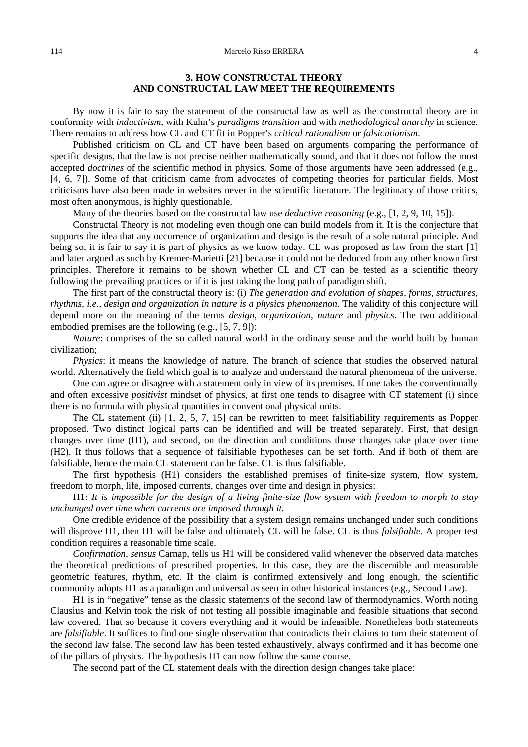## **3. HOW CONSTRUCTAL THEORY AND CONSTRUCTAL LAW MEET THE REQUIREMENTS**

By now it is fair to say the statement of the constructal law as well as the constructal theory are in conformity with *inductivism*, with Kuhn's *paradigms transition* and with *methodological anarchy* in science. There remains to address how CL and CT fit in Popper's *critical rationalism* or *falsicationism*.

Published criticism on CL and CT have been based on arguments comparing the performance of specific designs, that the law is not precise neither mathematically sound, and that it does not follow the most accepted *doctrines* of the scientific method in physics. Some of those arguments have been addressed (e.g., [4, 6, 7]). Some of that criticism came from advocates of competing theories for particular fields. Most criticisms have also been made in websites never in the scientific literature. The legitimacy of those critics, most often anonymous, is highly questionable.

Many of the theories based on the constructal law use *deductive reasoning* (e.g., [1, 2, 9, 10, 15]).

Constructal Theory is not modeling even though one can build models from it. It is the conjecture that supports the idea that any occurrence of organization and design is the result of a sole natural principle. And being so, it is fair to say it is part of physics as we know today. CL was proposed as law from the start [1] and later argued as such by Kremer-Marietti [21] because it could not be deduced from any other known first principles. Therefore it remains to be shown whether CL and CT can be tested as a scientific theory following the prevailing practices or if it is just taking the long path of paradigm shift.

The first part of the constructal theory is: (i) *The generation and evolution of shapes, forms, structures, rhythms, i.e., design and organization in nature is a physics phenomenon*. The validity of this conjecture will depend more on the meaning of the terms *design*, *organization*, *nature* and *physics*. The two additional embodied premises are the following (e.g., [5, 7, 9]):

*Nature*: comprises of the so called natural world in the ordinary sense and the world built by human civilization;

*Physics*: it means the knowledge of nature. The branch of science that studies the observed natural world. Alternatively the field which goal is to analyze and understand the natural phenomena of the universe.

One can agree or disagree with a statement only in view of its premises. If one takes the conventionally and often excessive *positivist* mindset of physics, at first one tends to disagree with CT statement (i) since there is no formula with physical quantities in conventional physical units.

The CL statement (ii) [1, 2, 5, 7, 15] can be rewritten to meet falsifiability requirements as Popper proposed. Two distinct logical parts can be identified and will be treated separately. First, that design changes over time (H1), and second, on the direction and conditions those changes take place over time (H2). It thus follows that a sequence of falsifiable hypotheses can be set forth. And if both of them are falsifiable, hence the main CL statement can be false. CL is thus falsifiable.

The first hypothesis (H1) considers the established premises of finite-size system, flow system, freedom to morph, life, imposed currents, changes over time and design in physics:

H1: *It is impossible for the design of a living finite-size flow system with freedom to morph to stay unchanged over time when currents are imposed through it.* 

One credible evidence of the possibility that a system design remains unchanged under such conditions will disprove H1, then H1 will be false and ultimately CL will be false. CL is thus *falsifiable*. A proper test condition requires a reasonable time scale.

*Confirmation*, *sensus* Carnap, tells us H1 will be considered valid whenever the observed data matches the theoretical predictions of prescribed properties. In this case, they are the discernible and measurable geometric features, rhythm, etc. If the claim is confirmed extensively and long enough, the scientific community adopts H1 as a paradigm and universal as seen in other historical instances (e.g., Second Law).

H1 is in "negative" tense as the classic statements of the second law of thermodynamics. Worth noting Clausius and Kelvin took the risk of not testing all possible imaginable and feasible situations that second law covered. That so because it covers everything and it would be infeasible. Nonetheless both statements are *falsifiable*. It suffices to find one single observation that contradicts their claims to turn their statement of the second law false. The second law has been tested exhaustively, always confirmed and it has become one of the pillars of physics. The hypothesis H1 can now follow the same course.

The second part of the CL statement deals with the direction design changes take place: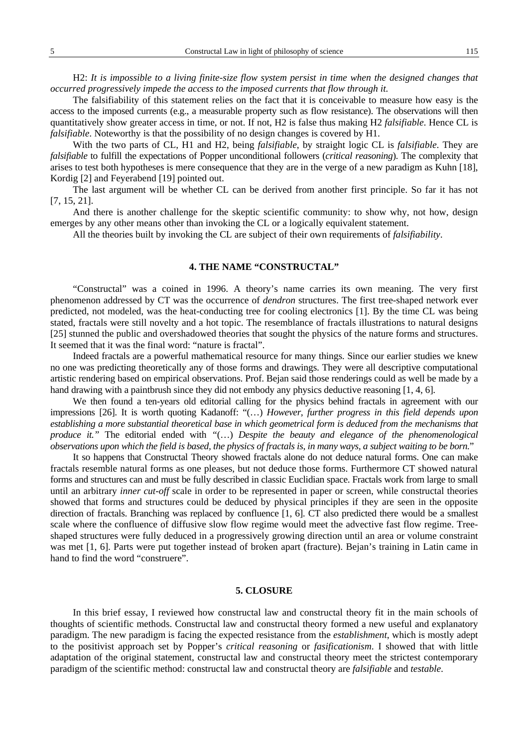H2: *It is impossible to a living finite-size flow system persist in time when the designed changes that occurred progressively impede the access to the imposed currents that flow through it.* 

The falsifiability of this statement relies on the fact that it is conceivable to measure how easy is the access to the imposed currents (e.g., a measurable property such as flow resistance). The observations will then quantitatively show greater access in time, or not. If not, H2 is false thus making H2 *falsifiable*. Hence CL is *falsifiable*. Noteworthy is that the possibility of no design changes is covered by H1.

With the two parts of CL, H1 and H2, being *falsifiable*, by straight logic CL is *falsifiable*. They are *falsifiable* to fulfill the expectations of Popper unconditional followers (*critical reasoning*). The complexity that arises to test both hypotheses is mere consequence that they are in the verge of a new paradigm as Kuhn [18], Kordig [2] and Feyerabend [19] pointed out.

The last argument will be whether CL can be derived from another first principle. So far it has not [7, 15, 21].

And there is another challenge for the skeptic scientific community: to show why, not how, design emerges by any other means other than invoking the CL or a logically equivalent statement.

All the theories built by invoking the CL are subject of their own requirements of *falsifiability*.

## **4. THE NAME "CONSTRUCTAL"**

"Constructal" was a coined in 1996. A theory's name carries its own meaning. The very first phenomenon addressed by CT was the occurrence of *dendron* structures. The first tree-shaped network ever predicted, not modeled, was the heat-conducting tree for cooling electronics [1]. By the time CL was being stated, fractals were still novelty and a hot topic. The resemblance of fractals illustrations to natural designs [25] stunned the public and overshadowed theories that sought the physics of the nature forms and structures. It seemed that it was the final word: "nature is fractal".

Indeed fractals are a powerful mathematical resource for many things. Since our earlier studies we knew no one was predicting theoretically any of those forms and drawings. They were all descriptive computational artistic rendering based on empirical observations. Prof. Bejan said those renderings could as well be made by a hand drawing with a paintbrush since they did not embody any physics deductive reasoning [1, 4, 6].

We then found a ten-years old editorial calling for the physics behind fractals in agreement with our impressions [26]. It is worth quoting Kadanoff: "(…) *However, further progress in this field depends upon establishing a more substantial theoretical base in which geometrical form is deduced from the mechanisms that produce it."* The editorial ended with *"*(…) *Despite the beauty and elegance of the phenomenological observations upon which the field is based, the physics of fractals is, in many ways, a subject waiting to be born.*"

It so happens that Constructal Theory showed fractals alone do not deduce natural forms. One can make fractals resemble natural forms as one pleases, but not deduce those forms. Furthermore CT showed natural forms and structures can and must be fully described in classic Euclidian space. Fractals work from large to small until an arbitrary *inner cut-off* scale in order to be represented in paper or screen, while constructal theories showed that forms and structures could be deduced by physical principles if they are seen in the opposite direction of fractals. Branching was replaced by confluence [1, 6]. CT also predicted there would be a smallest scale where the confluence of diffusive slow flow regime would meet the advective fast flow regime. Treeshaped structures were fully deduced in a progressively growing direction until an area or volume constraint was met [1, 6]. Parts were put together instead of broken apart (fracture). Bejan's training in Latin came in hand to find the word "construere".

### **5. CLOSURE**

In this brief essay, I reviewed how constructal law and constructal theory fit in the main schools of thoughts of scientific methods. Constructal law and constructal theory formed a new useful and explanatory paradigm. The new paradigm is facing the expected resistance from the *establishment*, which is mostly adept to the positivist approach set by Popper's *critical reasoning* or *fasificationism*. I showed that with little adaptation of the original statement, constructal law and constructal theory meet the strictest contemporary paradigm of the scientific method: constructal law and constructal theory are *falsifiable* and *testable*.